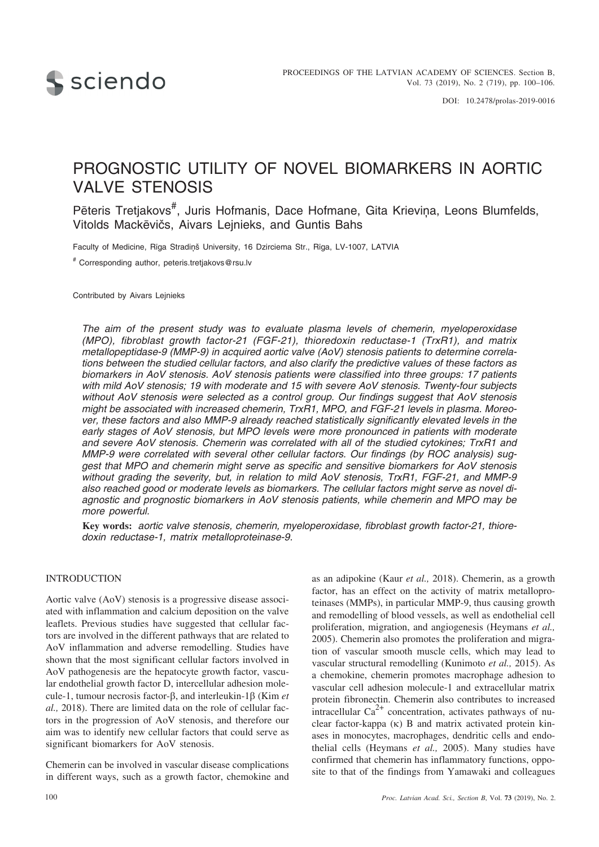

# PROGNOSTIC UTILITY OF NOVEL BIOMARKERS IN AORTIC VALVE STENOSIS

Pēteris Tretjakovs<sup>#</sup>, Juris Hofmanis, Dace Hofmane, Gita Krieviņa, Leons Blumfelds, Vitolds Mackēvičs, Aivars Lejnieks, and Guntis Bahs

Faculty of Medicine, Rīga Stradiņš University, 16 Dzirciema Str., Rīga, LV-1007, LATVIA

# Corresponding author, peteris.tretjakovs@rsu.lv

Contributed by Aivars Lejnieks

*The aim of the present study was to evaluate plasma levels of chemerin, myeloperoxidase (MPO), fibroblast growth factor-21 (FGF-21), thioredoxin reductase-1 (TrxR1), and matrix metallopeptidase-9 (MMP-9) in acquired aortic valve (AoV) stenosis patients to determine correlations between the studied cellular factors, and also clarify the predictive values of these factors as biomarkers in AoV stenosis. AoV stenosis patients were classified into three groups: 17 patients with mild AoV stenosis; 19 with moderate and 15 with severe AoV stenosis. Twenty-four subjects without AoV stenosis were selected as a control group. Our findings suggest that AoV stenosis might be associated with increased chemerin, TrxR1, MPO, and FGF-21 levels in plasma. Moreover, these factors and also MMP-9 already reached statistically significantly elevated levels in the early stages of AoV stenosis, but MPO levels were more pronounced in patients with moderate and severe AoV stenosis. Chemerin was correlated with all of the studied cytokines; TrxR1 and MMP-9 were correlated with several other cellular factors. Our findings (by ROC analysis) suggest that MPO and chemerin might serve as specific and sensitive biomarkers for AoV stenosis without grading the severity, but, in relation to mild AoV stenosis, TrxR1, FGF-21, and MMP-9 also reached good or moderate levels as biomarkers. The cellular factors might serve as novel diagnostic and prognostic biomarkers in AoV stenosis patients, while chemerin and MPO may be more powerful.*

**Key words:** *aortic valve stenosis, chemerin, myeloperoxidase, fibroblast growth factor-21, thioredoxin reductase-1, matrix metalloproteinase-9.*

## INTRODUCTION

Aortic valve (AoV) stenosis is a progressive disease associated with inflammation and calcium deposition on the valve leaflets. Previous studies have suggested that cellular factors are involved in the different pathways that are related to AoV inflammation and adverse remodelling. Studies have shown that the most significant cellular factors involved in AoV pathogenesis are the hepatocyte growth factor, vascular endothelial growth factor D, intercellular adhesion molecule-1, tumour necrosis factor- $\beta$ , and interleukin-1 $\beta$  (Kim *et al.,* 2018). There are limited data on the role of cellular factors in the progression of AoV stenosis, and therefore our aim was to identify new cellular factors that could serve as significant biomarkers for AoV stenosis.

Chemerin can be involved in vascular disease complications in different ways, such as a growth factor, chemokine and as an adipokine (Kaur *et al.,* 2018). Chemerin, as a growth factor, has an effect on the activity of matrix metalloproteinases (MMPs), in particular MMP-9, thus causing growth and remodelling of blood vessels, as well as endothelial cell proliferation, migration, and angiogenesis (Heymans *et al.,* 2005). Chemerin also promotes the proliferation and migration of vascular smooth muscle cells, which may lead to vascular structural remodelling (Kunimoto *et al.,* 2015). As a chemokine, chemerin promotes macrophage adhesion to vascular cell adhesion molecule-1 and extracellular matrix protein fibronectin. Chemerin also contributes to increased intracellular  $Ca^{2+}$  concentration, activates pathways of nuclear factor-kappa  $(\kappa)$  B and matrix activated protein kinases in monocytes, macrophages, dendritic cells and endothelial cells (Heymans *et al.,* 2005). Many studies have confirmed that chemerin has inflammatory functions, opposite to that of the findings from Yamawaki and colleagues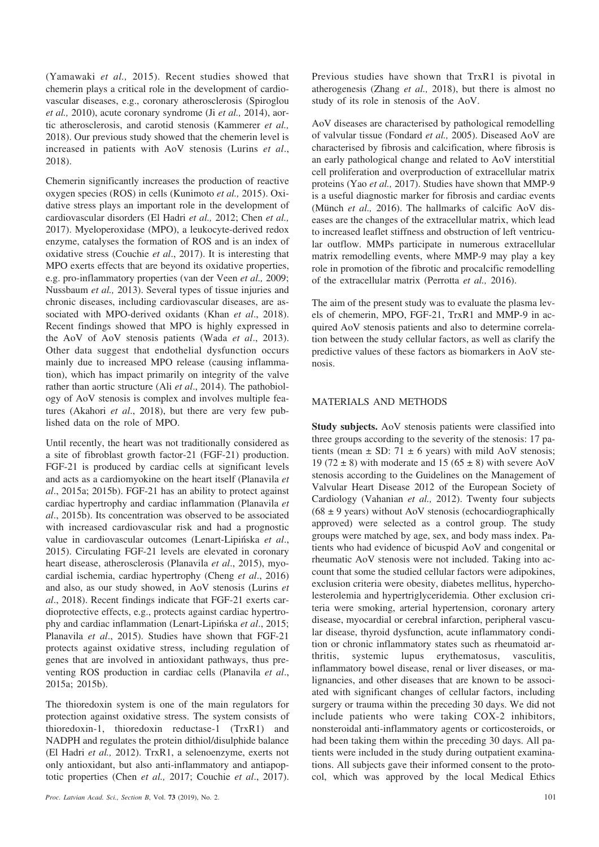(Yamawaki *et al.,* 2015). Recent studies showed that chemerin plays a critical role in the development of cardiovascular diseases, e.g., coronary atherosclerosis (Spiroglou *et al.,* 2010), acute coronary syndrome (Ji *et al.,* 2014), aortic atherosclerosis, and carotid stenosis (Kammerer *et al.,* 2018). Our previous study showed that the chemerin level is increased in patients with AoV stenosis (Lurins *et al*., 2018).

Chemerin significantly increases the production of reactive oxygen species (ROS) in cells (Kunimoto *et al.,* 2015). Oxidative stress plays an important role in the development of cardiovascular disorders (El Hadri *et al.,* 2012; Chen *et al.,* 2017). Myeloperoxidase (MPO), a leukocyte-derived redox enzyme, catalyses the formation of ROS and is an index of oxidative stress (Couchie *et al*., 2017). It is interesting that MPO exerts effects that are beyond its oxidative properties, e.g. pro-inflammatory properties (van der Veen *et al.,* 2009; Nussbaum *et al.,* 2013). Several types of tissue injuries and chronic diseases, including cardiovascular diseases, are associated with MPO-derived oxidants (Khan *et al*., 2018). Recent findings showed that MPO is highly expressed in the AoV of AoV stenosis patients (Wada *et al*., 2013). Other data suggest that endothelial dysfunction occurs mainly due to increased MPO release (causing inflammation), which has impact primarily on integrity of the valve rather than aortic structure (Ali *et al*., 2014). The pathobiology of AoV stenosis is complex and involves multiple features (Akahori *et al*., 2018), but there are very few published data on the role of MPO.

Until recently, the heart was not traditionally considered as a site of fibroblast growth factor-21 (FGF-21) production. FGF-21 is produced by cardiac cells at significant levels and acts as a cardiomyokine on the heart itself (Planavila *et al*., 2015a; 2015b). FGF-21 has an ability to protect against cardiac hypertrophy and cardiac inflammation (Planavila *et al*., 2015b). Its concentration was observed to be associated with increased cardiovascular risk and had a prognostic value in cardiovascular outcomes (Lenart-Lipiñska *et al*., 2015). Circulating FGF-21 levels are elevated in coronary heart disease, atherosclerosis (Planavila *et al*., 2015), myocardial ischemia, cardiac hypertrophy (Cheng *et al*., 2016) and also, as our study showed, in AoV stenosis (Lurins *et al*., 2018). Recent findings indicate that FGF-21 exerts cardioprotective effects, e.g., protects against cardiac hypertrophy and cardiac inflammation (Lenart-Lipiñska *et al*., 2015; Planavila *et al*., 2015). Studies have shown that FGF-21 protects against oxidative stress, including regulation of genes that are involved in antioxidant pathways, thus preventing ROS production in cardiac cells (Planavila *et al*., 2015a; 2015b).

The thioredoxin system is one of the main regulators for protection against oxidative stress. The system consists of thioredoxin-1, thioredoxin reductase-1 (TrxR1) and NADPH and regulates the protein dithiol/disulphide balance (El Hadri *et al.,* 2012). TrxR1, a selenoenzyme, exerts not only antioxidant, but also anti-inflammatory and antiapoptotic properties (Chen *et al.,* 2017; Couchie *et al*., 2017).

Previous studies have shown that TrxR1 is pivotal in atherogenesis (Zhang *et al.,* 2018), but there is almost no study of its role in stenosis of the AoV.

AoV diseases are characterised by pathological remodelling of valvular tissue (Fondard *et al.,* 2005). Diseased AoV are characterised by fibrosis and calcification, where fibrosis is an early pathological change and related to AoV interstitial cell proliferation and overproduction of extracellular matrix proteins (Yao *et al.,* 2017). Studies have shown that MMP-9 is a useful diagnostic marker for fibrosis and cardiac events (Münch *et al.,* 2016). The hallmarks of calcific AoV diseases are the changes of the extracellular matrix, which lead to increased leaflet stiffness and obstruction of left ventricular outflow. MMPs participate in numerous extracellular matrix remodelling events, where MMP-9 may play a key role in promotion of the fibrotic and procalcific remodelling of the extracellular matrix (Perrotta *et al.,* 2016).

The aim of the present study was to evaluate the plasma levels of chemerin, MPO, FGF-21, TrxR1 and MMP-9 in acquired AoV stenosis patients and also to determine correlation between the study cellular factors, as well as clarify the predictive values of these factors as biomarkers in AoV stenosis.

## MATERIALS AND METHODS

**Study subjects.** AoV stenosis patients were classified into three groups according to the severity of the stenosis: 17 patients (mean  $\pm$  SD: 71  $\pm$  6 years) with mild AoV stenosis; 19 (72  $\pm$  8) with moderate and 15 (65  $\pm$  8) with severe AoV stenosis according to the Guidelines on the Management of Valvular Heart Disease 2012 of the European Society of Cardiology (Vahanian *et al.,* 2012). Twenty four subjects  $(68 \pm 9 \text{ years})$  without AoV stenosis (echocardiographically approved) were selected as a control group. The study groups were matched by age, sex, and body mass index. Patients who had evidence of bicuspid AoV and congenital or rheumatic AoV stenosis were not included. Taking into account that some the studied cellular factors were adipokines, exclusion criteria were obesity, diabetes mellitus, hypercholesterolemia and hypertriglyceridemia. Other exclusion criteria were smoking, arterial hypertension, coronary artery disease, myocardial or cerebral infarction, peripheral vascular disease, thyroid dysfunction, acute inflammatory condition or chronic inflammatory states such as rheumatoid arthritis, systemic lupus erythematosus, vasculitis, inflammatory bowel disease, renal or liver diseases, or malignancies, and other diseases that are known to be associated with significant changes of cellular factors, including surgery or trauma within the preceding 30 days. We did not include patients who were taking COX-2 inhibitors, nonsteroidal anti-inflammatory agents or corticosteroids, or had been taking them within the preceding 30 days. All patients were included in the study during outpatient examinations. All subjects gave their informed consent to the protocol, which was approved by the local Medical Ethics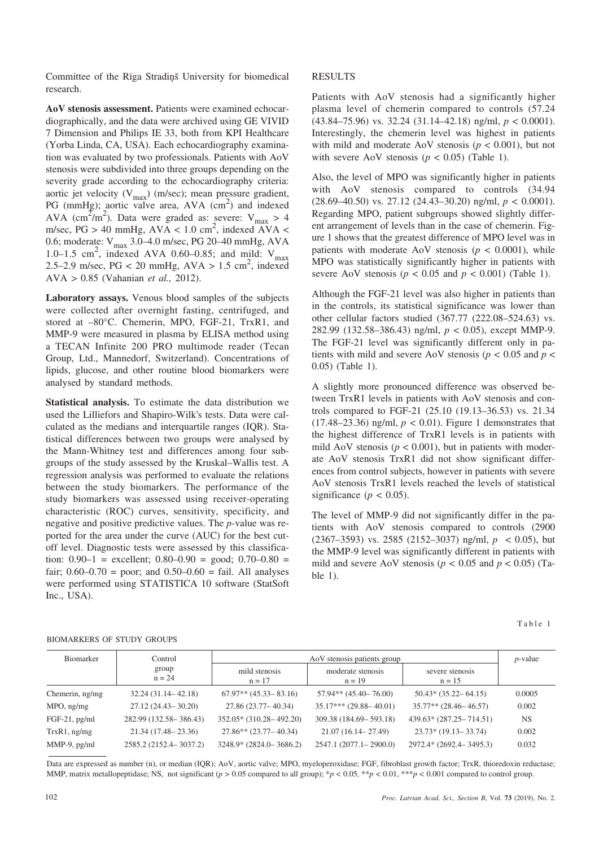Committee of the Rīga Stradiņš University for biomedical research.

**AoV stenosis assessment.** Patients were examined echocardiographically, and the data were archived using GE VIVID 7 Dimension and Philips IE 33, both from KPI Healthcare (Yorba Linda, CA, USA). Each echocardiography examination was evaluated by two professionals. Patients with AoV stenosis were subdivided into three groups depending on the severity grade according to the echocardiography criteria: aortic jet velocity ( $V_{max}$ ) (m/sec); mean pressure gradient, PG (mmHg); aortic valve area,  $AVA$  (cm<sup>2</sup>) and indexed AVA (cm<sup>2</sup>/m<sup>2</sup>). Data were graded as: severe: V<sub>max</sub> > 4 m/sec,  $PG > 40$  mmHg,  $AVA < 1.0$  cm<sup>2</sup>, indexed AVA < 0.6; moderate:  $V_{\text{max}}$  3.0–4.0 m/sec, PG 20–40 mmHg, AVA 1.0–1.5 cm<sup>2</sup>, indexed AVA 0.60–0.85; and mild:  $V_{\text{max}}$ 2.5–2.9 m/sec,  $PG < 20$  mmHg,  $AVA > 1.5$  cm<sup>2</sup>, indexed AVA > 0.85 (Vahanian *et al.,* 2012).

**Laboratory assays.** Venous blood samples of the subjects were collected after overnight fasting, centrifuged, and stored at –80°C. Chemerin, MPO, FGF-21, TrxR1, and MMP-9 were measured in plasma by ELISA method using a TECAN Infinite 200 PRO multimode reader (Tecan Group, Ltd., Mannedorf, Switzerland). Concentrations of lipids, glucose, and other routine blood biomarkers were analysed by standard methods.

**Statistical analysis.** To estimate the data distribution we used the Lilliefors and Shapiro-Wilk's tests. Data were calculated as the medians and interquartile ranges (IQR). Statistical differences between two groups were analysed by the Mann-Whitney test and differences among four subgroups of the study assessed by the Kruskal–Wallis test. A regression analysis was performed to evaluate the relations between the study biomarkers. The performance of the study biomarkers was assessed using receiver-operating characteristic (ROC) curves, sensitivity, specificity, and negative and positive predictive values. The *p-*value was reported for the area under the curve (AUC) for the best cutoff level. Diagnostic tests were assessed by this classification:  $0.90-1$  = excellent;  $0.80-0.90$  = good;  $0.70-0.80$  = fair;  $0.60 - 0.70 =$  poor; and  $0.50 - 0.60 =$  fail. All analyses were performed using STATISTICA 10 software (StatSoft Inc., USA).

### RESULTS

Patients with AoV stenosis had a significantly higher plasma level of chemerin compared to controls (57.24 (43.84–75.96) vs. 32.24 (31.14–42.18) ng/ml, *p* < 0.0001). Interestingly, the chemerin level was highest in patients with mild and moderate AoV stenosis ( $p < 0.001$ ), but not with severe AoV stenosis ( $p < 0.05$ ) (Table 1).

Also, the level of MPO was significantly higher in patients with AoV stenosis compared to controls (34.94) (28.69–40.50) vs. 27.12 (24.43–30.20) ng/ml, *p <* 0.0001). Regarding MPO, patient subgroups showed slightly different arrangement of levels than in the case of chemerin. Figure 1 shows that the greatest difference of MPO level was in patients with moderate AoV stenosis  $(p < 0.0001)$ , while MPO was statistically significantly higher in patients with severe AoV stenosis ( $p < 0.05$  and  $p < 0.001$ ) (Table 1).

Although the FGF-21 level was also higher in patients than in the controls, its statistical significance was lower than other cellular factors studied (367.77 (222.08–524.63) vs. 282.99 (132.58–386.43) ng/ml, *p* < 0.05), except MMP-9. The FGF-21 level was significantly different only in patients with mild and severe AoV stenosis ( $p < 0.05$  and  $p <$ 0.05) (Table 1).

A slightly more pronounced difference was observed between TrxR1 levels in patients with AoV stenosis and controls compared to FGF-21 (25.10 (19.13–36.53) vs. 21.34  $(17.48-23.36)$  ng/ml,  $p < 0.01$ ). Figure 1 demonstrates that the highest difference of TrxR1 levels is in patients with mild AoV stenosis ( $p < 0.001$ ), but in patients with moderate AoV stenosis TrxR1 did not show significant differences from control subjects, however in patients with severe AoV stenosis TrxR1 levels reached the levels of statistical significance ( $p < 0.05$ ).

The level of MMP-9 did not significantly differ in the patients with AoV stenosis compared to controls (2900 (2367–3593) vs. 2585 (2152–3037) ng/ml, *p* < 0.05), but the MMP-9 level was significantly different in patients with mild and severe AoV stenosis ( $p < 0.05$  and  $p < 0.05$ ) (Table 1).

| . .<br>control of<br>٠ |
|------------------------|
|------------------------|

#### BIOMARKERS OF STUDY GROUPS

| <b>Biomarker</b>  | Control                  | AoV stenosis patients group |                               |                             | $p$ -value |
|-------------------|--------------------------|-----------------------------|-------------------------------|-----------------------------|------------|
|                   | group<br>$n = 24$        | mild stenosis<br>$n = 17$   | moderate stenosis<br>$n = 19$ | severe stenosis<br>$n = 15$ |            |
| Chemerin, ng/mg   | $32.24(31.14 - 42.18)$   | $67.97**$ $(45.33-83.16)$   | $57.94**$ (45.40-76.00)       | $50.43*(35.22 - 64.15)$     | 0.0005     |
| $MPO$ , ng/mg     | $27.12(24.43 - 30.20)$   | 27.86 (23.77 – 40.34)       | $35.17***$ (29.88 – 40.01)    | $35.77**$ (28.46 - 46.57)   | 0.002      |
| $FGF-21$ , pg/ml  | 282.99 (132.58 - 386.43) | $352.05*$ (310.28 - 492.20) | 309.38 (184.69 - 593.18)      | $439.63*(287.25 - 714.51)$  | <b>NS</b>  |
| $TrxR1$ , ng/mg   | $21.34(17.48 - 23.36)$   | $27.86**$ (23.77 – 40.34)   | $21.07(16.14 - 27.49)$        | $23.73*(19.13-33.74)$       | 0.002      |
| $MMP-9$ , $pg/ml$ | 2585.2 (2152.4 - 3037.2) | $3248.9* (2824.0 - 3686.2)$ | $2547.1(2077.1-2900.0)$       | 2972.4* (2692.4 - 3495.3)   | 0.032      |

Data are expressed as number (n), or median (IQR); AoV, aortic valve; MPO, myeloperoxidase; FGF, fibroblast growth factor; TrxR, thioredoxin reductase; MMP, matrix metallopeptidase; NS, not significant (*p >* 0.05 compared to all group); \**p <* 0.05*,* \*\**p <* 0.01, \*\*\**p <* 0.001 compared to control group.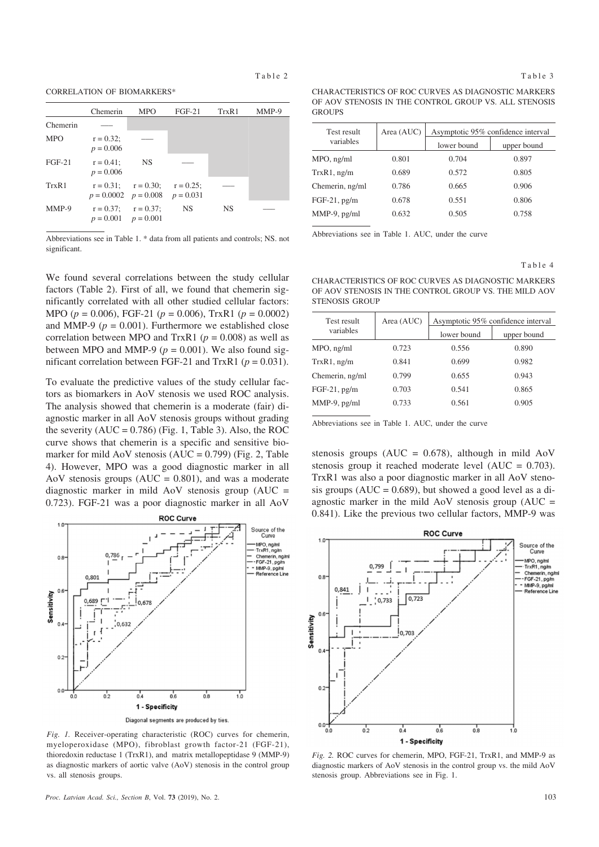CORRELATION OF BIOMARKERS\*

|            | Chemerin                                             | <b>MPO</b>                             | $FGF-21$  | TrxR1 | MMP-9 |
|------------|------------------------------------------------------|----------------------------------------|-----------|-------|-------|
| Chemerin   |                                                      |                                        |           |       |       |
| <b>MPO</b> | $r = 0.32$ ;<br>$p = 0.006$                          |                                        |           |       |       |
| $FGF-21$   | $r = 0.41$ ;<br>$p = 0.006$                          | <b>NS</b>                              |           |       |       |
| TrxR1      | $p = 0.0002$ $p = 0.008$ $p = 0.031$                 | $r = 0.31$ ; $r = 0.30$ ; $r = 0.25$ ; |           |       |       |
| MMP-9      | $r = 0.37$ ; $r = 0.37$ ;<br>$p = 0.001$ $p = 0.001$ |                                        | <b>NS</b> | NS.   |       |

Abbreviations see in Table 1. \* data from all patients and controls; NS. not significant.

We found several correlations between the study cellular factors (Table 2). First of all, we found that chemerin significantly correlated with all other studied cellular factors: MPO (*p* = 0.006), FGF-21 (*p* = 0.006), TrxR1 (*p* = 0.0002) and MMP-9 ( $p = 0.001$ ). Furthermore we established close correlation between MPO and TrxR1 ( $p = 0.008$ ) as well as between MPO and MMP-9 ( $p = 0.001$ ). We also found significant correlation between FGF-21 and TrxR1 ( $p = 0.031$ ).

To evaluate the predictive values of the study cellular factors as biomarkers in AoV stenosis we used ROC analysis. The analysis showed that chemerin is a moderate (fair) diagnostic marker in all AoV stenosis groups without grading the severity  $(AUC = 0.786)$  (Fig. 1, Table 3). Also, the ROC curve shows that chemerin is a specific and sensitive biomarker for mild AoV stenosis  $(AUC = 0.799)$  (Fig. 2, Table 4). However, MPO was a good diagnostic marker in all AoV stenosis groups  $(AUC = 0.801)$ , and was a moderate diagnostic marker in mild AoV stenosis group  $(AUC =$ 0.723). FGF-21 was a poor diagnostic marker in all AoV



*Fig. 1.* Receiver-operating characteristic (ROC) curves for chemerin, myeloperoxidase (MPO), fibroblast growth factor-21 (FGF-21), thioredoxin reductase 1 (TrxR1), and matrix metallopeptidase 9 (MMP-9) as diagnostic markers of aortic valve (AoV) stenosis in the control group vs. all stenosis groups.

| CHARACTERISTICS OF ROC CURVES AS DIAGNOSTIC MARKERS   |  |
|-------------------------------------------------------|--|
| OF AOV STENOSIS IN THE CONTROL GROUP VS. ALL STENOSIS |  |
| GROUPS.                                               |  |

| Test result     | Area (AUC) | Asymptotic 95% confidence interval |             |
|-----------------|------------|------------------------------------|-------------|
| variables       |            | lower bound                        | upper bound |
| MPO, ng/ml      | 0.801      | 0.704                              | 0.897       |
| $TrxR1$ , ng/m  | 0.689      | 0.572                              | 0.805       |
| Chemerin, ng/ml | 0.786      | 0.665                              | 0.906       |
| $FGF-21$ , pg/m | 0.678      | 0.551                              | 0.806       |
| MMP-9, pg/ml    | 0.632      | 0.505                              | 0.758       |
|                 |            |                                    |             |

Abbreviations see in Table 1. AUC, under the curve

Table 4

CHARACTERISTICS OF ROC CURVES AS DIAGNOSTIC MARKERS OF AOV STENOSIS IN THE CONTROL GROUP VS. THE MILD AOV STENOSIS GROUP

| Test result     | Area (AUC) | Asymptotic 95% confidence interval |             |  |
|-----------------|------------|------------------------------------|-------------|--|
| variables       |            | lower bound                        | upper bound |  |
| MPO, ng/ml      | 0.723      | 0.556                              | 0.890       |  |
| $TrxR1$ , ng/m  | 0.841      | 0.699                              | 0.982       |  |
| Chemerin, ng/ml | 0.799      | 0.655                              | 0.943       |  |
| $FGF-21$ , pg/m | 0.703      | 0.541                              | 0.865       |  |
| $MMP-9$ , pg/ml | 0.733      | 0.561                              | 0.905       |  |
|                 |            |                                    |             |  |

Abbreviations see in Table 1. AUC, under the curve

stenosis groups ( $AUC = 0.678$ ), although in mild  $AoV$ stenosis group it reached moderate level (AUC = 0.703). TrxR1 was also a poor diagnostic marker in all AoV stenosis groups  $(AUC = 0.689)$ , but showed a good level as a diagnostic marker in the mild AoV stenosis group  $(AUC =$ 0.841). Like the previous two cellular factors, MMP-9 was



*Fig. 2.* ROC curves for chemerin, MPO, FGF-21, TrxR1, and MMP-9 as diagnostic markers of AoV stenosis in the control group vs. the mild AoV stenosis group. Abbreviations see in Fig. 1.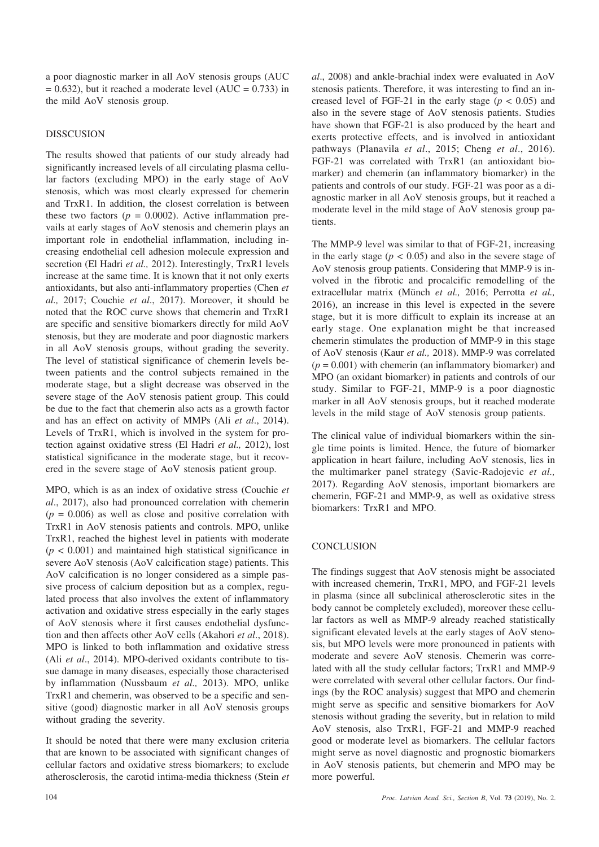a poor diagnostic marker in all AoV stenosis groups (AUC  $= 0.632$ ), but it reached a moderate level (AUC = 0.733) in the mild AoV stenosis group.

## DISSCUSION

The results showed that patients of our study already had significantly increased levels of all circulating plasma cellular factors (excluding MPO) in the early stage of AoV stenosis, which was most clearly expressed for chemerin and TrxR1. In addition, the closest correlation is between these two factors ( $p = 0.0002$ ). Active inflammation prevails at early stages of AoV stenosis and chemerin plays an important role in endothelial inflammation, including increasing endothelial cell adhesion molecule expression and secretion (El Hadri *et al.,* 2012). Interestingly, TrxR1 levels increase at the same time. It is known that it not only exerts antioxidants, but also anti-inflammatory properties (Chen *et al.,* 2017; Couchie *et al*., 2017). Moreover, it should be noted that the ROC curve shows that chemerin and TrxR1 are specific and sensitive biomarkers directly for mild AoV stenosis, but they are moderate and poor diagnostic markers in all AoV stenosis groups, without grading the severity. The level of statistical significance of chemerin levels between patients and the control subjects remained in the moderate stage, but a slight decrease was observed in the severe stage of the AoV stenosis patient group. This could be due to the fact that chemerin also acts as a growth factor and has an effect on activity of MMPs (Ali *et al*., 2014). Levels of TrxR1, which is involved in the system for protection against oxidative stress (El Hadri *et al.,* 2012), lost statistical significance in the moderate stage, but it recovered in the severe stage of AoV stenosis patient group.

MPO, which is as an index of oxidative stress (Couchie *et al*., 2017), also had pronounced correlation with chemerin  $(p = 0.006)$  as well as close and positive correlation with TrxR1 in AoV stenosis patients and controls. MPO, unlike TrxR1, reached the highest level in patients with moderate  $(p < 0.001)$  and maintained high statistical significance in severe AoV stenosis (AoV calcification stage) patients. This AoV calcification is no longer considered as a simple passive process of calcium deposition but as a complex, regulated process that also involves the extent of inflammatory activation and oxidative stress especially in the early stages of AoV stenosis where it first causes endothelial dysfunction and then affects other AoV cells (Akahori *et al*., 2018). MPO is linked to both inflammation and oxidative stress (Ali *et al*., 2014). MPO-derived oxidants contribute to tissue damage in many diseases, especially those characterised by inflammation (Nussbaum *et al.,* 2013). MPO, unlike TrxR1 and chemerin, was observed to be a specific and sensitive (good) diagnostic marker in all AoV stenosis groups without grading the severity.

It should be noted that there were many exclusion criteria that are known to be associated with significant changes of cellular factors and oxidative stress biomarkers; to exclude atherosclerosis, the carotid intima-media thickness (Stein *et* *al*., 2008) and ankle-brachial index were evaluated in AoV stenosis patients. Therefore, it was interesting to find an increased level of FGF-21 in the early stage  $(p < 0.05)$  and also in the severe stage of AoV stenosis patients. Studies have shown that FGF-21 is also produced by the heart and exerts protective effects, and is involved in antioxidant pathways (Planavila *et al*., 2015; Cheng *et al*., 2016). FGF-21 was correlated with TrxR1 (an antioxidant biomarker) and chemerin (an inflammatory biomarker) in the patients and controls of our study. FGF-21 was poor as a diagnostic marker in all AoV stenosis groups, but it reached a moderate level in the mild stage of AoV stenosis group patients.

The MMP-9 level was similar to that of FGF-21, increasing in the early stage  $(p < 0.05)$  and also in the severe stage of AoV stenosis group patients. Considering that MMP-9 is involved in the fibrotic and procalcific remodelling of the extracellular matrix (Münch *et al.,* 2016; Perrotta *et al.,* 2016), an increase in this level is expected in the severe stage, but it is more difficult to explain its increase at an early stage. One explanation might be that increased chemerin stimulates the production of MMP-9 in this stage of AoV stenosis (Kaur *et al.,* 2018). MMP-9 was correlated  $(p = 0.001)$  with chemerin (an inflammatory biomarker) and MPO (an oxidant biomarker) in patients and controls of our study. Similar to FGF-21, MMP-9 is a poor diagnostic marker in all AoV stenosis groups, but it reached moderate levels in the mild stage of AoV stenosis group patients.

The clinical value of individual biomarkers within the single time points is limited. Hence, the future of biomarker application in heart failure, including AoV stenosis, lies in the multimarker panel strategy (Savic-Radojevic *et al.,* 2017). Regarding AoV stenosis, important biomarkers are chemerin, FGF-21 and MMP-9, as well as oxidative stress biomarkers: TrxR1 and MPO.

# **CONCLUSION**

The findings suggest that AoV stenosis might be associated with increased chemerin, TrxR1, MPO, and FGF-21 levels in plasma (since all subclinical atherosclerotic sites in the body cannot be completely excluded), moreover these cellular factors as well as MMP-9 already reached statistically significant elevated levels at the early stages of AoV stenosis, but MPO levels were more pronounced in patients with moderate and severe AoV stenosis. Chemerin was correlated with all the study cellular factors; TrxR1 and MMP-9 were correlated with several other cellular factors. Our findings (by the ROC analysis) suggest that MPO and chemerin might serve as specific and sensitive biomarkers for AoV stenosis without grading the severity, but in relation to mild AoV stenosis, also TrxR1, FGF-21 and MMP-9 reached good or moderate level as biomarkers. The cellular factors might serve as novel diagnostic and prognostic biomarkers in AoV stenosis patients, but chemerin and MPO may be more powerful.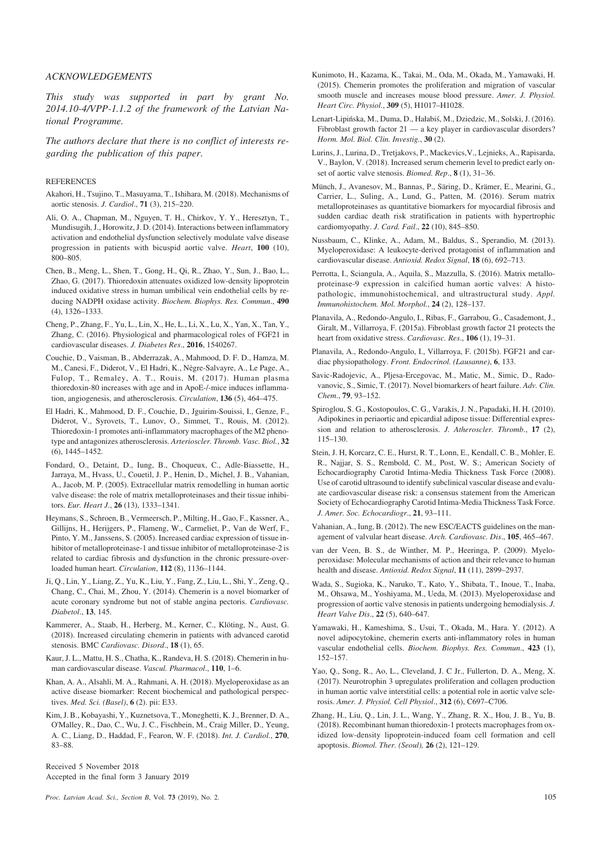#### *ACKNOWLEDGEMENTS*

*This study was supported in part by grant No. 2014.10-4/VPP-1.1.2 of the framework of the Latvian National Programme.*

*The authors declare that there is no conflict of interests regarding the publication of this paper*.

#### **REFERENCES**

- Akahori, H., Tsujino, T., Masuyama, T., Ishihara, M. (2018). Mechanisms of aortic stenosis. *J. Cardiol*., **71** (3), 215–220.
- Ali, O. A., Chapman, M., Nguyen, T. H., Chirkov, Y. Y., Heresztyn, T., Mundisugih, J., Horowitz, J. D. (2014). Interactions between inflammatory activation and endothelial dysfunction selectively modulate valve disease progression in patients with bicuspid aortic valve. *Heart*, **100** (10), 800–805.
- Chen, B., Meng, L., Shen, T., Gong, H., Qi, R., Zhao, Y., Sun, J., Bao, L., Zhao, G. (2017). Thioredoxin attenuates oxidized low-density lipoprotein induced oxidative stress in human umbilical vein endothelial cells by reducing NADPH oxidase activity. *Biochem. Biophys. Res. Commun*., **490** (4), 1326–1333.
- Cheng, P., Zhang, F., Yu, L., Lin, X., He, L., Li, X., Lu, X., Yan, X., Tan, Y., Zhang, C. (2016). Physiological and pharmacological roles of FGF21 in cardiovascular diseases. *J. Diabetes Res*., **2016**, 1540267.
- Couchie, D., Vaisman, B., Abderrazak, A., Mahmood, D. F. D., Hamza, M. M., Canesi, F., Diderot, V., El Hadri, K., Nègre-Salvayre, A., Le Page, A., Fulop, T., Remaley, A. T., Rouis, M. (2017). Human plasma thioredoxin-80 increases with age and in ApoE-/-mice induces inflammation, angiogenesis, and atherosclerosis. *Circulation*, **136** (5), 464–475.
- El Hadri, K., Mahmood, D. F., Couchie, D., Jguirim-Souissi, I., Genze, F., Diderot, V., Syrovets, T., Lunov, O., Simmet, T., Rouis, M. (2012). Thioredoxin-1 promotes anti-inflammatory macrophages of the M2 phenotype and antagonizes atherosclerosis. *Arterioscler. Thromb. Vasc. Biol.*, **32** (6), 1445–1452.
- Fondard, O., Detaint, D., Iung, B., Choqueux, C., Adle-Biassette, H., Jarraya, M., Hvass, U., Couetil, J. P., Henin, D., Michel, J. B., Vahanian, A., Jacob, M. P. (2005). Extracellular matrix remodelling in human aortic valve disease: the role of matrix metalloproteinases and their tissue inhibitors. *Eur. Heart J*., **26** (13), 1333–1341.
- Heymans, S., Schroen, B., Vermeersch, P., Milting, H., Gao, F., Kassner, A., Gillijns, H., Herijgers, P., Flameng, W., Carmeliet, P., Van de Werf, F., Pinto, Y. M., Janssens, S. (2005). Increased cardiac expression of tissue inhibitor of metalloproteinase-1 and tissue inhibitor of metalloproteinase-2 is related to cardiac fibrosis and dysfunction in the chronic pressure-overloaded human heart. *Circulation*, **112** (8), 1136–1144.
- Ji, Q., Lin, Y., Liang, Z., Yu, K., Liu, Y., Fang, Z., Liu, L., Shi, Y., Zeng, Q., Chang, C., Chai, M., Zhou, Y. (2014). Chemerin is a novel biomarker of acute coronary syndrome but not of stable angina pectoris. *Cardiovasc. Diabetol*., **13**, 145.
- Kammerer, A., Staab, H., Herberg, M., Kerner, C., Klöting, N., Aust, G. (2018). Increased circulating chemerin in patients with advanced carotid stenosis. BMC *Cardiovasc. Disord*., **18** (1), 65.
- Kaur, J. L., Mattu, H. S., Chatha, K., Randeva, H. S. (2018). Chemerin in human cardiovascular disease. *Vascul. Pharmacol*., **110**, 1–6.
- Khan, A. A., Alsahli, M. A., Rahmani, A. H. (2018). Myeloperoxidase as an active disease biomarker: Recent biochemical and pathological perspectives. *Med. Sci. (Basel)*, **6** (2). pii: E33.
- Kim, J. B., Kobayashi, Y., Kuznetsova, T., Moneghetti, K. J., Brenner, D. A., O'Malley, R., Dao, C., Wu, J. C., Fischbein, M., Craig Miller, D., Yeung, A. C., Liang, D., Haddad, F., Fearon, W. F. (2018). *Int. J. Cardiol*., **270**, 83–88.

Received 5 November 2018 Accepted in the final form 3 January 2019

- Kunimoto, H., Kazama, K., Takai, M., Oda, M., Okada, M., Yamawaki, H. (2015). Chemerin promotes the proliferation and migration of vascular smooth muscle and increases mouse blood pressure. *Amer. J. Physiol. Heart Circ. Physiol*., **309** (5), H1017–H1028.
- Lenart-Lipińska, M., Duma, D., Hałabiś, M., Dziedzic, M., Solski, J. (2016). Fibroblast growth factor 21 — a key player in cardiovascular disorders? *Horm. Mol. Biol. Clin. Investig.*, **30** (2).
- Lurins, J., Lurina, D., Tretjakovs, P., Mackevics,V., Lejnieks, A., Rapisarda, V., Baylon, V. (2018). Increased serum chemerin level to predict early onset of aortic valve stenosis. *Biomed. Rep*., **8** (1), 31–36.
- Münch, J., Avanesov, M., Bannas, P., Säring, D., Krämer, E., Mearini, G., Carrier, L., Suling, A., Lund, G., Patten, M. (2016). Serum matrix metalloproteinases as quantitative biomarkers for myocardial fibrosis and sudden cardiac death risk stratification in patients with hypertrophic cardiomyopathy. *J. Card. Fail*., **22** (10), 845–850.
- Nussbaum, C., Klinke, A., Adam, M., Baldus, S., Sperandio, M. (2013). Myeloperoxidase: A leukocyte-derived protagonist of inflammation and cardiovascular disease. *Antioxid. Redox Signal*, **18** (6), 692–713.
- Perrotta, I., Sciangula, A., Aquila, S., Mazzulla, S. (2016). Matrix metalloproteinase-9 expression in calcified human aortic valves: A histopathologic, immunohistochemical, and ultrastructural study. *Appl. Immunohistochem. Mol. Morphol.*, **24** (2), 128–137.
- Planavila, A., Redondo-Angulo, I., Ribas, F., Garrabou, G., Casademont, J., Giralt, M., Villarroya, F. (2015a). Fibroblast growth factor 21 protects the heart from oxidative stress. *Cardiovasc. Res*., **106** (1), 19–31.
- Planavila, A., Redondo-Angulo, I., Villarroya, F. (2015b). FGF21 and cardiac physiopathology. *Front. Endocrinol. (Lausanne)*, **6**, 133.
- Savic-Radojevic, A., Pljesa-Ercegovac, M., Matic, M., Simic, D., Radovanovic, S., Simic, T. (2017). Novel biomarkers of heart failure. *Adv. Clin. Chem*., **79**, 93–152.
- Spiroglou, S. G., Kostopoulos, C. G., Varakis, J. N., Papadaki, H. H. (2010). Adipokines in periaortic and epicardial adipose tissue: Differential expression and relation to atherosclerosis. *J. Atheroscler. Thromb*., **17** (2), 115–130.
- Stein, J. H, Korcarz, C. E., Hurst, R. T., Lonn, E., Kendall, C. B., Mohler, E. R., Najjar, S. S., Rembold, C. M., Post, W. S.; American Society of Echocardiography Carotid Intima-Media Thickness Task Force (2008). Use of carotid ultrasound to identify subclinical vascular disease and evaluate cardiovascular disease risk: a consensus statement from the American Society of Echocardiography Carotid Intima-Media Thickness Task Force. *J. Amer. Soc. Echocardiogr*., **21**, 93–111.
- Vahanian, A., Iung, B. (2012). The new ESC/EACTS guidelines on the management of valvular heart disease. *Arch. Cardiovasc. Dis*., **105**, 465–467.
- van der Veen, B. S., de Winther, M. P., Heeringa, P. (2009). Myeloperoxidase: Molecular mechanisms of action and their relevance to human health and disease. *Antioxid. Redox Signal*, **11** (11), 2899–2937.
- Wada, S., Sugioka, K., Naruko, T., Kato, Y., Shibata, T., Inoue, T., Inaba, M., Ohsawa, M., Yoshiyama, M., Ueda, M. (2013). Myeloperoxidase and progression of aortic valve stenosis in patients undergoing hemodialysis. *J. Heart Valve Dis*., **22** (5), 640–647.
- Yamawaki, H., Kameshima, S., Usui, T., Okada, M., Hara. Y. (2012). A novel adipocytokine, chemerin exerts anti-inflammatory roles in human vascular endothelial cells. *Biochem. Biophys. Res. Commun*., **423** (1), 152–157.
- Yao, Q., Song, R., Ao, L., Cleveland, J. C Jr., Fullerton, D. A., Meng, X. (2017). Neurotrophin 3 upregulates proliferation and collagen production in human aortic valve interstitial cells: a potential role in aortic valve sclerosis. *Amer. J. Physiol. Cell Physiol*., **312** (6), C697–C706.
- Zhang, H., Liu, Q., Lin, J. L., Wang, Y., Zhang, R. X., Hou, J. B., Yu, B. (2018). Recombinant human thioredoxin-1 protects macrophages from oxidized low-density lipoprotein-induced foam cell formation and cell apoptosis. *Biomol. Ther. (Seoul),* **26** (2), 121–129.